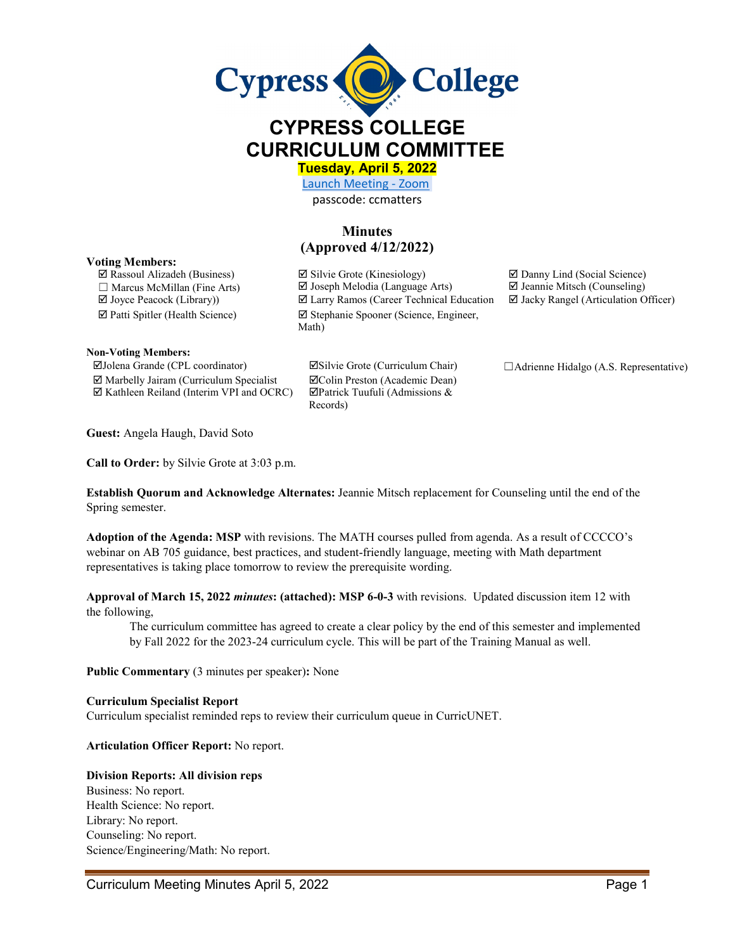

# **CYPRESS COLLEGE CURRICULUM COMMITTEE**

**Tuesday, April 5, 2022** 

[Launch Meeting - Zoom](https://cypresscollege-edu.zoom.us/j/96161669542?pwd=OWYraHlaR0UzOE9QYU9NaXlnSjRIZz09#success)  passcode: ccmatters

# **Minutes (Approved 4/12/2022)**

Math)

#### **Voting Members:**

 $\Box$  Rassoul Alizadeh (Business)  $\Box$  Silvie Grote (Kinesiology)  $\Box$  Danny Lind (Social Science)  $\Box$  Marcus McMillan (Fine Arts)  $\Box$  Joseph Melodia (Language Arts)  $\Box$  Jeannie Mitsch (Counseling)

Patti Spitler (Health Science) Stephanie Spooner (Science, Engineer,

**Non-Voting Members:**

 $\boxtimes$  Marbelly Jairam (Curriculum Specialist  $\boxtimes$  Colin Preston (Academic Dean)  $\boxtimes$  Kathleen Reiland (Interim VPI and OCRC)  $\boxtimes$  Patrick Tuufuli (Admissions &

Records)

 $\Box$  Joyce Peacock (Library))  $\Box$  Larry Ramos (Career Technical Education  $\Box$  Jacky Rangel (Articulation Officer)

Jolena Grande (CPL coordinator) Silvie Grote (Curriculum Chair) ☐Adrienne Hidalgo (A.S. Representative)

**Guest:** Angela Haugh, David Soto

**Call to Order:** by Silvie Grote at 3:03 p.m.

**Establish Quorum and Acknowledge Alternates:** Jeannie Mitsch replacement for Counseling until the end of the Spring semester.

**Adoption of the Agenda: MSP** with revisions. The MATH courses pulled from agenda. As a result of CCCCO's webinar on AB 705 guidance, best practices, and student-friendly language, meeting with Math department representatives is taking place tomorrow to review the prerequisite wording.

**Approval of March 15, 2022** *minutes***: (attached): MSP 6-0-3** with revisions. Updated discussion item 12 with the following,

The curriculum committee has agreed to create a clear policy by the end of this semester and implemented by Fall 2022 for the 2023-24 curriculum cycle. This will be part of the Training Manual as well.

**Public Commentary** (3 minutes per speaker)**:** None

#### **Curriculum Specialist Report**

Curriculum specialist reminded reps to review their curriculum queue in CurricUNET.

**Articulation Officer Report:** No report.

#### **Division Reports: All division reps**

Business: No report. Health Science: No report. Library: No report. Counseling: No report. Science/Engineering/Math: No report.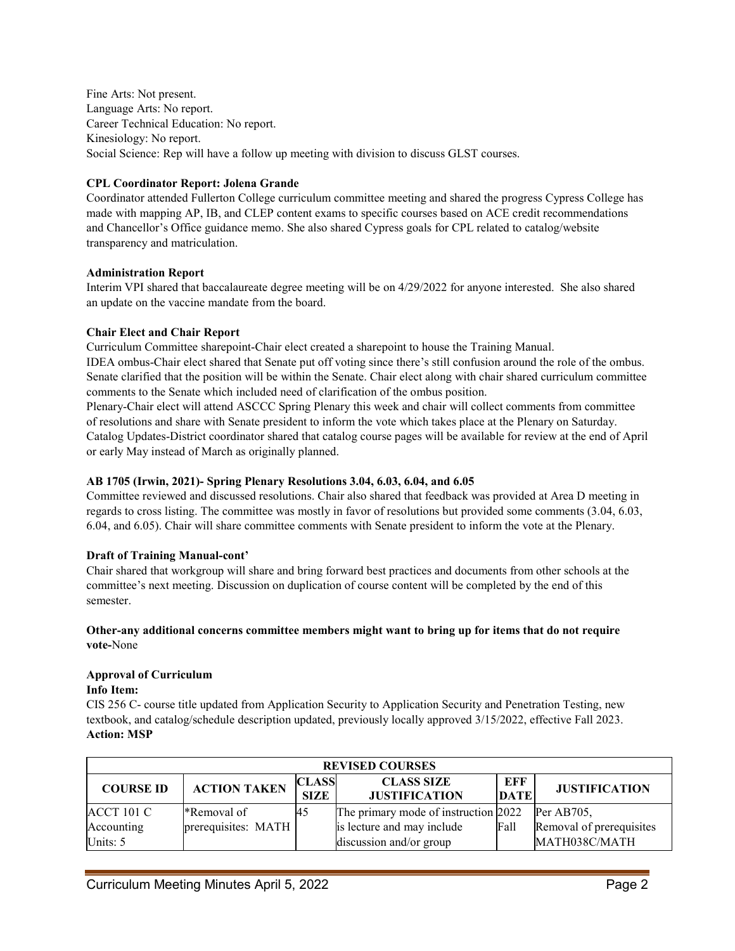Fine Arts: Not present. Language Arts: No report. Career Technical Education: No report. Kinesiology: No report. Social Science: Rep will have a follow up meeting with division to discuss GLST courses.

### **CPL Coordinator Report: Jolena Grande**

Coordinator attended Fullerton College curriculum committee meeting and shared the progress Cypress College has made with mapping AP, IB, and CLEP content exams to specific courses based on ACE credit recommendations and Chancellor's Office guidance memo. She also shared Cypress goals for CPL related to catalog/website transparency and matriculation.

#### **Administration Report**

Interim VPI shared that baccalaureate degree meeting will be on 4/29/2022 for anyone interested. She also shared an update on the vaccine mandate from the board.

#### **Chair Elect and Chair Report**

Curriculum Committee sharepoint-Chair elect created a sharepoint to house the Training Manual.

IDEA ombus-Chair elect shared that Senate put off voting since there's still confusion around the role of the ombus. Senate clarified that the position will be within the Senate. Chair elect along with chair shared curriculum committee comments to the Senate which included need of clarification of the ombus position.

Plenary-Chair elect will attend ASCCC Spring Plenary this week and chair will collect comments from committee of resolutions and share with Senate president to inform the vote which takes place at the Plenary on Saturday. Catalog Updates-District coordinator shared that catalog course pages will be available for review at the end of April or early May instead of March as originally planned.

# **AB 1705 (Irwin, 2021)- Spring Plenary Resolutions 3.04, 6.03, 6.04, and 6.05**

Committee reviewed and discussed resolutions. Chair also shared that feedback was provided at Area D meeting in regards to cross listing. The committee was mostly in favor of resolutions but provided some comments (3.04, 6.03, 6.04, and 6.05). Chair will share committee comments with Senate president to inform the vote at the Plenary.

# **Draft of Training Manual-cont'**

Chair shared that workgroup will share and bring forward best practices and documents from other schools at the committee's next meeting. Discussion on duplication of course content will be completed by the end of this semester.

#### **Other-any additional concerns committee members might want to bring up for items that do not require vote-**None

# **Approval of Curriculum**

#### **Info Item:**

CIS 256 C- course title updated from Application Security to Application Security and Penetration Testing, new textbook, and catalog/schedule description updated, previously locally approved 3/15/2022, effective Fall 2023. **Action: MSP**

| <b>REVISED COURSES</b> |                     |                             |                                           |                    |                          |  |  |  |
|------------------------|---------------------|-----------------------------|-------------------------------------------|--------------------|--------------------------|--|--|--|
| <b>COURSE ID</b>       | <b>ACTION TAKEN</b> | <b>CLASS</b><br><b>SIZE</b> | <b>CLASS SIZE</b><br><b>JUSTIFICATION</b> | EFF<br><b>DATE</b> | <b>JUSTIFICATION</b>     |  |  |  |
| <b>ACCT 101 C</b>      | <b>*Removal of</b>  | 45                          | The primary mode of instruction 2022      |                    | Per $AB705$ .            |  |  |  |
| Accounting             | prerequisites: MATH |                             | is lecture and may include                | Fall               | Removal of prerequisites |  |  |  |
| Units: 5               |                     |                             | discussion and/or group                   |                    | MATH038C/MATH            |  |  |  |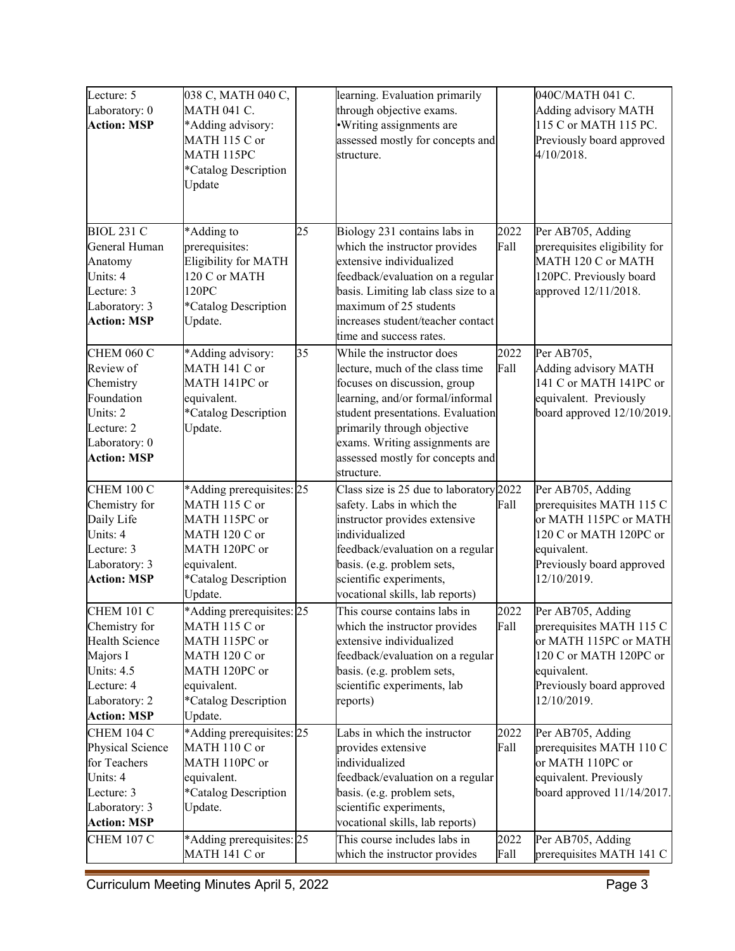| Lecture: 5            | 038 С, МАТН 040 С,          |    | learning. Evaluation primarily          |      | 040С/МАТН 041 С.              |
|-----------------------|-----------------------------|----|-----------------------------------------|------|-------------------------------|
| Laboratory: 0         | <b>MATH 041 C.</b>          |    | through objective exams.                |      | Adding advisory MATH          |
| <b>Action: MSP</b>    | *Adding advisory:           |    | ·Writing assignments are                |      | 115 C or MATH 115 PC.         |
|                       | MATH 115 C or               |    | assessed mostly for concepts and        |      | Previously board approved     |
|                       | MATH 115PC                  |    | structure.                              |      | 4/10/2018.                    |
|                       | *Catalog Description        |    |                                         |      |                               |
|                       | Update                      |    |                                         |      |                               |
|                       |                             |    |                                         |      |                               |
|                       |                             |    |                                         |      |                               |
| <b>BIOL 231 C</b>     | *Adding to                  | 25 | Biology 231 contains labs in            | 2022 | Per AB705, Adding             |
| General Human         | prerequisites:              |    | which the instructor provides           | Fall | prerequisites eligibility for |
| Anatomy               | <b>Eligibility for MATH</b> |    | extensive individualized                |      | MATH 120 C or MATH            |
| Units: 4              | 120 C or MATH               |    | feedback/evaluation on a regular        |      | 120PC. Previously board       |
| Lecture: 3            | 120PC                       |    | basis. Limiting lab class size to a     |      | approved 12/11/2018.          |
| Laboratory: 3         | *Catalog Description        |    | maximum of 25 students                  |      |                               |
| <b>Action: MSP</b>    | Update.                     |    | increases student/teacher contact       |      |                               |
|                       |                             |    | time and success rates.                 |      |                               |
| <b>CHEM 060 C</b>     | *Adding advisory:           | 35 | While the instructor does               | 2022 | Per AB705,                    |
| Review of             | MATH 141 C or               |    | lecture, much of the class time         | Fall | Adding advisory MATH          |
| Chemistry             | MATH 141PC or               |    | focuses on discussion, group            |      | 141 C or MATH 141PC or        |
| Foundation            | equivalent.                 |    | learning, and/or formal/informal        |      | equivalent. Previously        |
| Units: 2              | *Catalog Description        |    | student presentations. Evaluation       |      | board approved 12/10/2019.    |
| Lecture: 2            | Update.                     |    | primarily through objective             |      |                               |
| Laboratory: 0         |                             |    | exams. Writing assignments are          |      |                               |
| <b>Action: MSP</b>    |                             |    | assessed mostly for concepts and        |      |                               |
|                       |                             |    | structure.                              |      |                               |
| <b>CHEM 100 C</b>     | *Adding prerequisites: 25   |    | Class size is 25 due to laboratory 2022 |      | Per AB705, Adding             |
| Chemistry for         | MATH 115 C or               |    | safety. Labs in which the               | Fall | prerequisites MATH 115 C      |
| Daily Life            | MATH 115PC or               |    | instructor provides extensive           |      | or MATH 115PC or MATH         |
| Units: 4              | MATH 120 C or               |    | individualized                          |      | 120 C or MATH 120PC or        |
| Lecture: 3            | MATH 120PC or               |    | feedback/evaluation on a regular        |      | equivalent.                   |
| Laboratory: 3         | equivalent.                 |    | basis. (e.g. problem sets,              |      | Previously board approved     |
| <b>Action: MSP</b>    | *Catalog Description        |    | scientific experiments,                 |      | 12/10/2019.                   |
|                       | Update.                     |    | vocational skills, lab reports)         |      |                               |
| <b>CHEM 101 C</b>     | *Adding prerequisites: 25   |    | This course contains labs in            | 2022 | Per AB705, Adding             |
| Chemistry for         | MATH 115 C or               |    | which the instructor provides           | Fall | prerequisites MATH 115 C      |
| <b>Health Science</b> | MATH 115PC or               |    | extensive individualized                |      | or MATH 115PC or MATH         |
| Majors I              | MATH 120 C or               |    | feedback/evaluation on a regular        |      | 120 C or MATH 120PC or        |
| Units: 4.5            | MATH 120PC or               |    | basis. (e.g. problem sets,              |      | equivalent.                   |
| Lecture: 4            | equivalent.                 |    | scientific experiments, lab             |      | Previously board approved     |
| Laboratory: 2         | *Catalog Description        |    | reports)                                |      | 12/10/2019.                   |
| <b>Action: MSP</b>    | Update.                     |    |                                         |      |                               |
| <b>CHEM 104 C</b>     | *Adding prerequisites: 25   |    | Labs in which the instructor            | 2022 | Per AB705, Adding             |
| Physical Science      | MATH 110 C or               |    | provides extensive                      | Fall | prerequisites MATH 110 C      |
| for Teachers          | MATH 110PC or               |    | individualized                          |      | or MATH 110PC or              |
| Units: 4              | equivalent.                 |    | feedback/evaluation on a regular        |      | equivalent. Previously        |
| Lecture: 3            | *Catalog Description        |    | basis. (e.g. problem sets,              |      | board approved 11/14/2017.    |
| Laboratory: 3         | Update.                     |    | scientific experiments,                 |      |                               |
| <b>Action: MSP</b>    |                             |    | vocational skills, lab reports)         |      |                               |
| <b>CHEM 107 C</b>     | *Adding prerequisites: 25   |    | This course includes labs in            | 2022 | Per AB705, Adding             |
|                       | MATH 141 C or               |    | which the instructor provides           | Fall | prerequisites MATH 141 C      |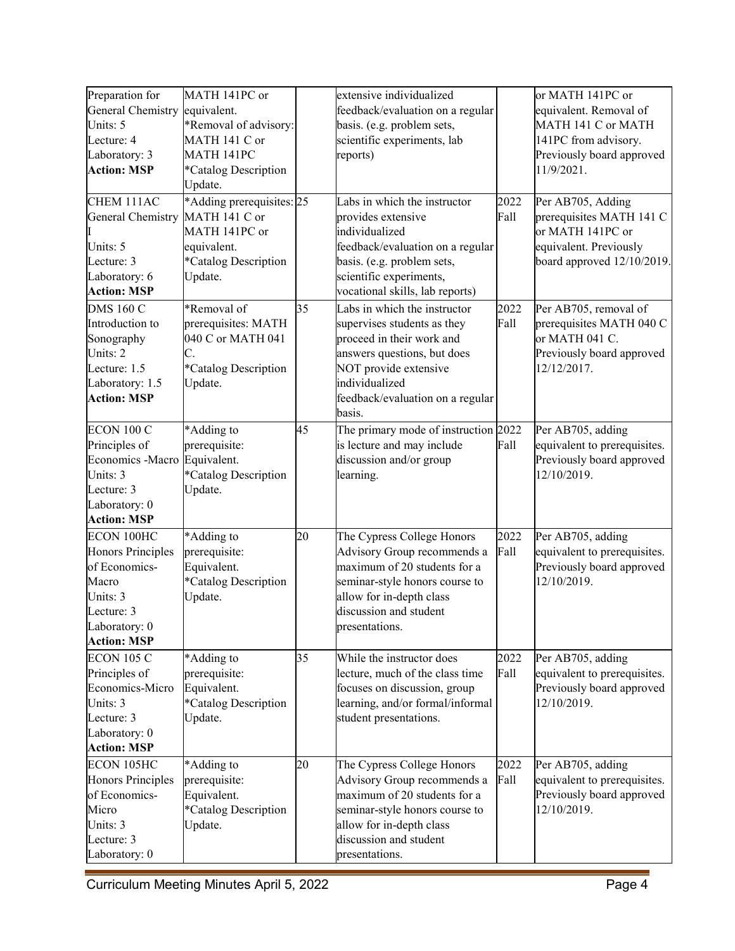| Preparation for          | MATH 141PC or             |    | extensive individualized             |      | or MATH 141PC or             |
|--------------------------|---------------------------|----|--------------------------------------|------|------------------------------|
| General Chemistry        | equivalent.               |    | feedback/evaluation on a regular     |      | equivalent. Removal of       |
| Units: 5                 | *Removal of advisory:     |    | basis. (e.g. problem sets,           |      | MATH 141 C or MATH           |
| Lecture: 4               | MATH 141 C or             |    | scientific experiments, lab          |      | 141PC from advisory.         |
| Laboratory: 3            | MATH 141PC                |    | reports)                             |      | Previously board approved    |
| <b>Action: MSP</b>       | *Catalog Description      |    |                                      |      | 11/9/2021.                   |
|                          | Update.                   |    |                                      |      |                              |
| CHEM 111AC               | *Adding prerequisites: 25 |    | Labs in which the instructor         | 2022 | Per AB705, Adding            |
| General Chemistry        | MATH 141 C or             |    | provides extensive                   | Fall | prerequisites MATH 141 C     |
|                          | MATH 141PC or             |    | individualized                       |      | or MATH 141PC or             |
| Units: 5                 | equivalent.               |    | feedback/evaluation on a regular     |      | equivalent. Previously       |
| Lecture: 3               | *Catalog Description      |    | basis. (e.g. problem sets,           |      | board approved 12/10/2019.   |
| Laboratory: 6            | Update.                   |    | scientific experiments,              |      |                              |
| <b>Action: MSP</b>       |                           |    | vocational skills, lab reports)      |      |                              |
| <b>DMS 160 C</b>         | *Removal of               | 35 | Labs in which the instructor         | 2022 | Per AB705, removal of        |
| Introduction to          | prerequisites: MATH       |    | supervises students as they          | Fall | prerequisites MATH 040 C     |
| Sonography               | 040 C or MATH 041         |    | proceed in their work and            |      | or MATH 041 C.               |
| Units: 2                 | С.                        |    | answers questions, but does          |      | Previously board approved    |
| Lecture: 1.5             | *Catalog Description      |    | NOT provide extensive                |      | 12/12/2017.                  |
| Laboratory: 1.5          | Update.                   |    | individualized                       |      |                              |
| <b>Action: MSP</b>       |                           |    | feedback/evaluation on a regular     |      |                              |
|                          |                           |    | basis.                               |      |                              |
| <b>ECON 100 C</b>        | *Adding to                | 45 | The primary mode of instruction 2022 |      | Per AB705, adding            |
| Principles of            | prerequisite:             |    | is lecture and may include           | Fall | equivalent to prerequisites. |
| Economics -Macro         | Equivalent.               |    | discussion and/or group              |      | Previously board approved    |
| Units: 3                 | *Catalog Description      |    | learning.                            |      | 12/10/2019.                  |
| Lecture: 3               | Update.                   |    |                                      |      |                              |
| Laboratory: 0            |                           |    |                                      |      |                              |
| <b>Action: MSP</b>       |                           |    |                                      |      |                              |
| ECON 100HC               | *Adding to                | 20 | The Cypress College Honors           | 2022 | Per AB705, adding            |
| <b>Honors Principles</b> | prerequisite:             |    | Advisory Group recommends a          | Fall | equivalent to prerequisites. |
| of Economics-            | Equivalent.               |    | maximum of 20 students for a         |      | Previously board approved    |
| Macro                    | *Catalog Description      |    | seminar-style honors course to       |      | 12/10/2019.                  |
| Units: 3                 | Update.                   |    | allow for in-depth class             |      |                              |
| Lecture: 3               |                           |    | discussion and student               |      |                              |
| Laboratory: 0            |                           |    | presentations.                       |      |                              |
| <b>Action: MSP</b>       |                           |    |                                      |      |                              |
| <b>ECON 105 C</b>        | *Adding to                | 35 | While the instructor does            | 2022 | Per AB705, adding            |
| Principles of            | prerequisite:             |    | lecture, much of the class time      | Fall | equivalent to prerequisites. |
| Economics-Micro          | Equivalent.               |    | focuses on discussion, group         |      | Previously board approved    |
| Units: 3                 | *Catalog Description      |    | learning, and/or formal/informal     |      | 12/10/2019.                  |
| Lecture: 3               | Update.                   |    | student presentations.               |      |                              |
| Laboratory: 0            |                           |    |                                      |      |                              |
| <b>Action: MSP</b>       |                           |    |                                      |      |                              |
| ECON 105HC               | *Adding to                | 20 | The Cypress College Honors           | 2022 | Per AB705, adding            |
| Honors Principles        | prerequisite:             |    | Advisory Group recommends a          | Fall | equivalent to prerequisites. |
| of Economics-            | Equivalent.               |    | maximum of 20 students for a         |      | Previously board approved    |
| Micro                    | *Catalog Description      |    | seminar-style honors course to       |      | 12/10/2019.                  |
| Units: 3                 | Update.                   |    | allow for in-depth class             |      |                              |
| Lecture: 3               |                           |    | discussion and student               |      |                              |
| Laboratory: 0            |                           |    | presentations.                       |      |                              |
|                          |                           |    |                                      |      |                              |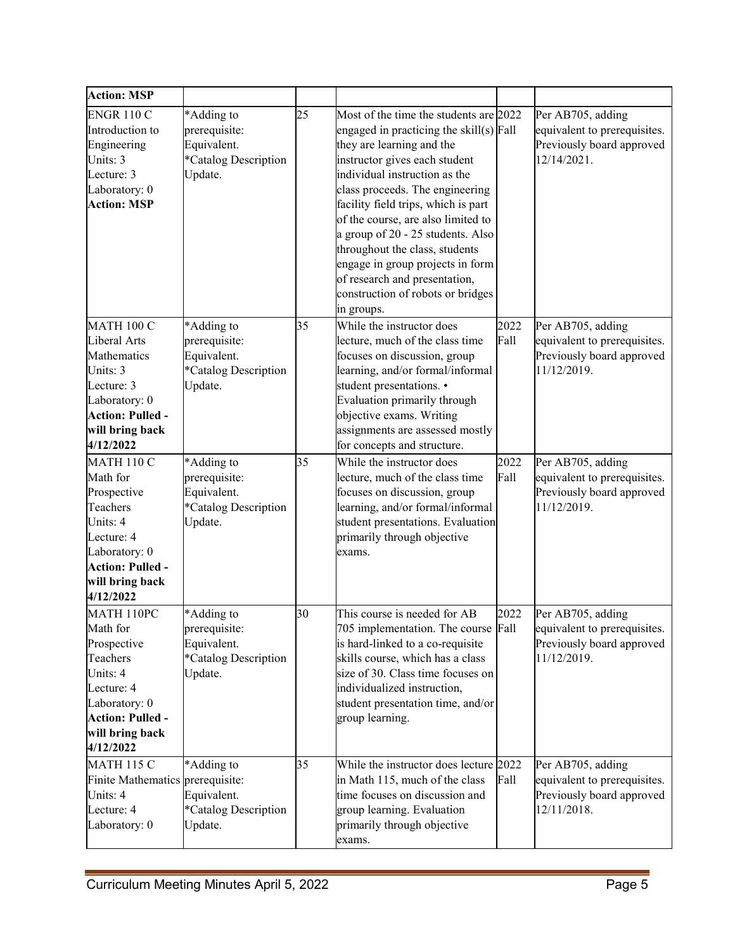| <b>Action: MSP</b>                       |                      |    |                                         |      |                              |
|------------------------------------------|----------------------|----|-----------------------------------------|------|------------------------------|
| <b>ENGR 110 C</b>                        | *Adding to           | 25 | Most of the time the students are 2022  |      | Per AB705, adding            |
| Introduction to                          | prerequisite:        |    | engaged in practicing the skill(s) Fall |      | equivalent to prerequisites. |
| Engineering                              | Equivalent.          |    | they are learning and the               |      | Previously board approved    |
| Units: 3                                 | *Catalog Description |    | instructor gives each student           |      | 12/14/2021.                  |
| Lecture: 3                               | Update.              |    | individual instruction as the           |      |                              |
| Laboratory: 0                            |                      |    | class proceeds. The engineering         |      |                              |
| <b>Action: MSP</b>                       |                      |    | facility field trips, which is part     |      |                              |
|                                          |                      |    | of the course, are also limited to      |      |                              |
|                                          |                      |    | a group of 20 - 25 students. Also       |      |                              |
|                                          |                      |    | throughout the class, students          |      |                              |
|                                          |                      |    | engage in group projects in form        |      |                              |
|                                          |                      |    | of research and presentation,           |      |                              |
|                                          |                      |    | construction of robots or bridges       |      |                              |
|                                          |                      |    | in groups.                              |      |                              |
| <b>MATH 100 C</b>                        | *Adding to           | 35 | While the instructor does               | 2022 | Per AB705, adding            |
| Liberal Arts                             | prerequisite:        |    | lecture, much of the class time         | Fall | equivalent to prerequisites. |
| Mathematics                              | Equivalent.          |    | focuses on discussion, group            |      | Previously board approved    |
| Units: 3                                 | *Catalog Description |    | learning, and/or formal/informal        |      | 11/12/2019.                  |
| Lecture: 3                               | Update.              |    | student presentations. •                |      |                              |
| Laboratory: 0                            |                      |    | Evaluation primarily through            |      |                              |
| <b>Action: Pulled -</b>                  |                      |    | objective exams. Writing                |      |                              |
| will bring back                          |                      |    | assignments are assessed mostly         |      |                              |
| 4/12/2022                                |                      |    | for concepts and structure.             |      |                              |
| <b>MATH 110 C</b>                        | *Adding to           | 35 | While the instructor does               | 2022 | Per AB705, adding            |
| Math for                                 | prerequisite:        |    | lecture, much of the class time         | Fall | equivalent to prerequisites. |
| Prospective                              | Equivalent.          |    | focuses on discussion, group            |      | Previously board approved    |
| Teachers                                 | *Catalog Description |    | learning, and/or formal/informal        |      | 11/12/2019.                  |
| Units: 4                                 | Update.              |    | student presentations. Evaluation       |      |                              |
| Lecture: 4                               |                      |    | primarily through objective             |      |                              |
| Laboratory: 0<br><b>Action: Pulled -</b> |                      |    | exams.                                  |      |                              |
| will bring back                          |                      |    |                                         |      |                              |
| 4/12/2022                                |                      |    |                                         |      |                              |
| MATH 110PC                               | *Adding to           | 30 | This course is needed for AB            | 2022 | Per AB705, adding            |
| Math for                                 | prerequisite:        |    | 705 implementation. The course Fall     |      | equivalent to prerequisites. |
| Prospective                              | Equivalent.          |    | is hard-linked to a co-requisite        |      | Previously board approved    |
| Teachers                                 | *Catalog Description |    | skills course, which has a class        |      | 11/12/2019.                  |
| Units: 4                                 | Update.              |    | size of 30. Class time focuses on       |      |                              |
| Lecture: 4                               |                      |    | individualized instruction,             |      |                              |
| Laboratory: 0                            |                      |    | student presentation time, and/or       |      |                              |
| <b>Action: Pulled -</b>                  |                      |    | group learning.                         |      |                              |
| will bring back                          |                      |    |                                         |      |                              |
| 4/12/2022                                |                      |    |                                         |      |                              |
| <b>MATH 115 C</b>                        | *Adding to           | 35 | While the instructor does lecture 2022  |      | Per AB705, adding            |
| Finite Mathematics prerequisite:         |                      |    | in Math 115, much of the class          | Fall | equivalent to prerequisites. |
| Units: 4                                 | Equivalent.          |    | time focuses on discussion and          |      | Previously board approved    |
| Lecture: 4                               | *Catalog Description |    | group learning. Evaluation              |      | 12/11/2018.                  |
| Laboratory: 0                            | Update.              |    | primarily through objective             |      |                              |
|                                          |                      |    | exams.                                  |      |                              |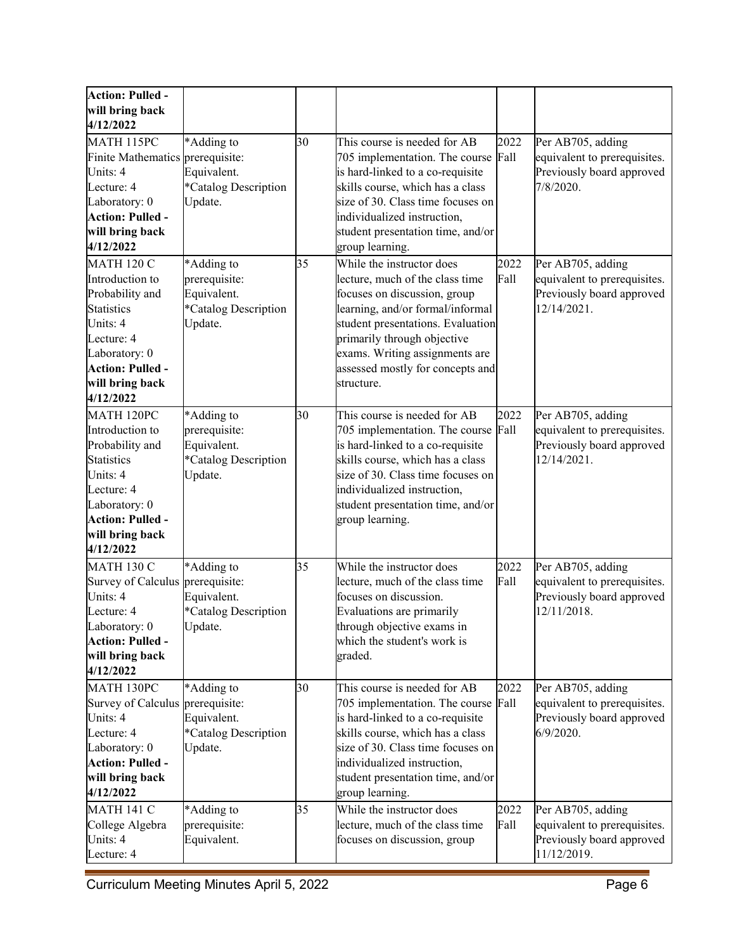| <b>Action: Pulled -</b>          |                      |    |                                                                  |      |                              |
|----------------------------------|----------------------|----|------------------------------------------------------------------|------|------------------------------|
| will bring back                  |                      |    |                                                                  |      |                              |
| 4/12/2022                        |                      |    |                                                                  |      |                              |
| MATH 115PC                       | *Adding to           | 30 | This course is needed for AB                                     | 2022 | Per AB705, adding            |
| Finite Mathematics prerequisite: |                      |    | 705 implementation. The course                                   | Fall | equivalent to prerequisites. |
| Units: 4                         | Equivalent.          |    | is hard-linked to a co-requisite                                 |      | Previously board approved    |
| Lecture: 4                       | *Catalog Description |    | skills course, which has a class                                 |      | 7/8/2020.                    |
| Laboratory: 0                    | Update.              |    | size of 30. Class time focuses on                                |      |                              |
| <b>Action: Pulled -</b>          |                      |    | individualized instruction,                                      |      |                              |
| will bring back                  |                      |    | student presentation time, and/or                                |      |                              |
| 4/12/2022                        |                      |    | group learning.                                                  |      |                              |
| <b>MATH 120 C</b>                | *Adding to           | 35 | While the instructor does                                        | 2022 | Per AB705, adding            |
| Introduction to                  | prerequisite:        |    | lecture, much of the class time                                  | Fall | equivalent to prerequisites. |
| Probability and                  | Equivalent.          |    | focuses on discussion, group                                     |      | Previously board approved    |
| <b>Statistics</b>                | *Catalog Description |    | learning, and/or formal/informal                                 |      | 12/14/2021.                  |
| Units: 4                         | Update.              |    | student presentations. Evaluation                                |      |                              |
| Lecture: 4                       |                      |    | primarily through objective                                      |      |                              |
| Laboratory: 0                    |                      |    | exams. Writing assignments are                                   |      |                              |
| Action: Pulled -                 |                      |    | assessed mostly for concepts and                                 |      |                              |
| will bring back                  |                      |    | structure.                                                       |      |                              |
| 4/12/2022                        |                      |    |                                                                  |      |                              |
| MATH 120PC                       | *Adding to           | 30 | This course is needed for AB                                     | 2022 | Per AB705, adding            |
| Introduction to                  | prerequisite:        |    | 705 implementation. The course Fall                              |      | equivalent to prerequisites. |
| Probability and                  | Equivalent.          |    | is hard-linked to a co-requisite                                 |      | Previously board approved    |
| <b>Statistics</b>                | *Catalog Description |    | skills course, which has a class                                 |      | 12/14/2021.                  |
| Units: 4                         | Update.              |    | size of 30. Class time focuses on                                |      |                              |
| Lecture: 4<br>Laboratory: 0      |                      |    | individualized instruction,<br>student presentation time, and/or |      |                              |
| <b>Action: Pulled -</b>          |                      |    | group learning.                                                  |      |                              |
| will bring back                  |                      |    |                                                                  |      |                              |
| 4/12/2022                        |                      |    |                                                                  |      |                              |
| <b>MATH 130 C</b>                | *Adding to           | 35 | While the instructor does                                        | 2022 | Per AB705, adding            |
| Survey of Calculus               | prerequisite:        |    | lecture, much of the class time                                  | Fall | equivalent to prerequisites. |
| Units: 4                         | Equivalent.          |    | focuses on discussion.                                           |      | Previously board approved    |
| Lecture: 4                       | *Catalog Description |    | Evaluations are primarily                                        |      | 12/11/2018.                  |
| Laboratory: 0                    | Update.              |    | through objective exams in                                       |      |                              |
| <b>Action: Pulled -</b>          |                      |    | which the student's work is                                      |      |                              |
| will bring back                  |                      |    | graded.                                                          |      |                              |
| 4/12/2022                        |                      |    |                                                                  |      |                              |
| MATH 130PC                       | *Adding to           | 30 | This course is needed for AB                                     | 2022 | Per AB705, adding            |
| Survey of Calculus               | prerequisite:        |    | 705 implementation. The course                                   | Fall | equivalent to prerequisites. |
| Units: 4                         | Equivalent.          |    | is hard-linked to a co-requisite                                 |      | Previously board approved    |
| Lecture: 4                       | *Catalog Description |    | skills course, which has a class                                 |      | $6/9/2020$ .                 |
| Laboratory: 0                    | Update.              |    | size of 30. Class time focuses on                                |      |                              |
| <b>Action: Pulled -</b>          |                      |    | individualized instruction,                                      |      |                              |
| will bring back                  |                      |    | student presentation time, and/or                                |      |                              |
| 4/12/2022                        |                      |    | group learning.                                                  |      |                              |
| <b>MATH 141 C</b>                | *Adding to           | 35 | While the instructor does                                        | 2022 | Per AB705, adding            |
| College Algebra                  | prerequisite:        |    | lecture, much of the class time                                  | Fall | equivalent to prerequisites. |
| Units: 4                         | Equivalent.          |    | focuses on discussion, group                                     |      | Previously board approved    |
| Lecture: 4                       |                      |    |                                                                  |      | 11/12/2019.                  |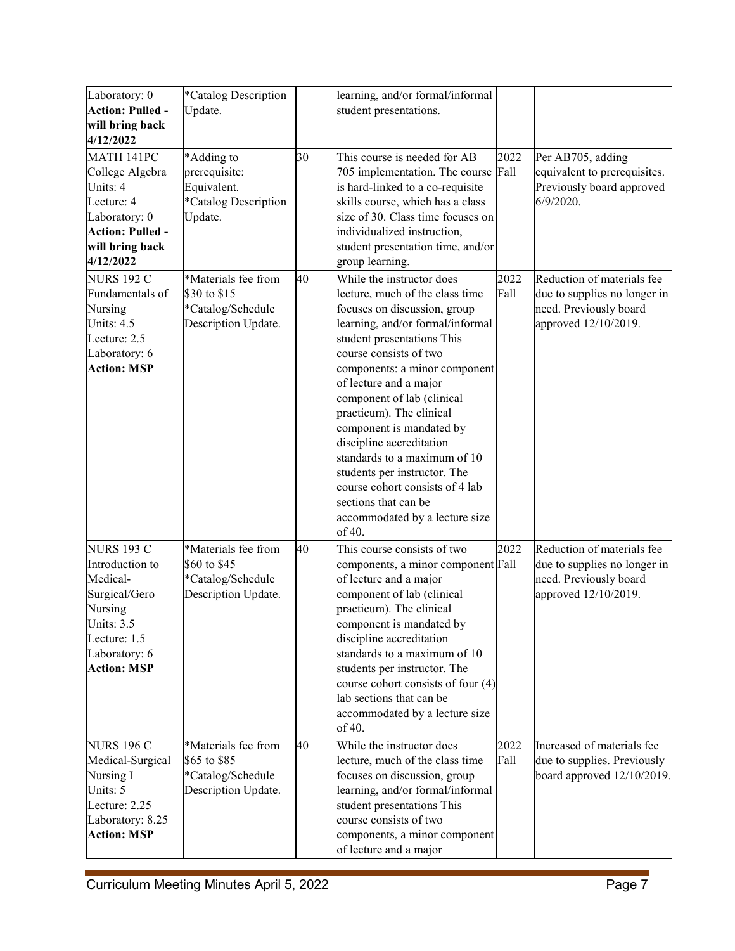| Laboratory: 0           | *Catalog Description                     |    | learning, and/or formal/informal                     |      |                              |
|-------------------------|------------------------------------------|----|------------------------------------------------------|------|------------------------------|
| <b>Action: Pulled -</b> | Update.                                  |    | student presentations.                               |      |                              |
|                         |                                          |    |                                                      |      |                              |
| will bring back         |                                          |    |                                                      |      |                              |
| 4/12/2022               |                                          |    |                                                      |      |                              |
| MATH 141PC              | *Adding to                               | 30 | This course is needed for AB                         | 2022 | Per AB705, adding            |
| College Algebra         | prerequisite:                            |    | 705 implementation. The course                       | Fall | equivalent to prerequisites. |
| Units: 4                | Equivalent.                              |    | is hard-linked to a co-requisite                     |      | Previously board approved    |
| Lecture: 4              | *Catalog Description                     |    | skills course, which has a class                     |      | $6/9/2020$ .                 |
| Laboratory: 0           | Update.                                  |    | size of 30. Class time focuses on                    |      |                              |
| <b>Action: Pulled -</b> |                                          |    | individualized instruction,                          |      |                              |
| will bring back         |                                          |    | student presentation time, and/or                    |      |                              |
| 4/12/2022               |                                          |    | group learning.                                      |      |                              |
| <b>NURS 192 C</b>       | *Materials fee from                      | 40 | While the instructor does                            | 2022 | Reduction of materials fee   |
| Fundamentals of         | \$30 to \$15                             |    | lecture, much of the class time                      | Fall | due to supplies no longer in |
| Nursing                 | *Catalog/Schedule                        |    | focuses on discussion, group                         |      | need. Previously board       |
| Units: 4.5              | Description Update.                      |    | learning, and/or formal/informal                     |      | approved 12/10/2019.         |
| Lecture: 2.5            |                                          |    |                                                      |      |                              |
|                         |                                          |    | student presentations This<br>course consists of two |      |                              |
| Laboratory: 6           |                                          |    |                                                      |      |                              |
| <b>Action: MSP</b>      |                                          |    | components: a minor component                        |      |                              |
|                         |                                          |    | of lecture and a major                               |      |                              |
|                         |                                          |    | component of lab (clinical                           |      |                              |
|                         |                                          |    | practicum). The clinical                             |      |                              |
|                         |                                          |    | component is mandated by                             |      |                              |
|                         |                                          |    | discipline accreditation                             |      |                              |
|                         |                                          |    | standards to a maximum of 10                         |      |                              |
|                         |                                          |    | students per instructor. The                         |      |                              |
|                         |                                          |    | course cohort consists of 4 lab                      |      |                              |
|                         |                                          |    | sections that can be                                 |      |                              |
|                         |                                          |    | accommodated by a lecture size                       |      |                              |
|                         |                                          |    | of 40.                                               |      |                              |
| <b>NURS 193 C</b>       | *Materials fee from                      | 40 | This course consists of two                          | 2022 | Reduction of materials fee   |
| Introduction to         | \$60 to \$45                             |    | components, a minor component Fall                   |      | due to supplies no longer in |
| Medical-                | *Catalog/Schedule                        |    | of lecture and a major                               |      | need. Previously board       |
| Surgical/Gero           | Description Update.                      |    | component of lab (clinical                           |      | approved 12/10/2019.         |
| Nursing                 |                                          |    | practicum). The clinical                             |      |                              |
| Units: 3.5              |                                          |    | component is mandated by                             |      |                              |
| Lecture: 1.5            |                                          |    | discipline accreditation                             |      |                              |
| Laboratory: 6           |                                          |    | standards to a maximum of 10                         |      |                              |
| <b>Action: MSP</b>      |                                          |    | students per instructor. The                         |      |                              |
|                         |                                          |    | course cohort consists of four (4)                   |      |                              |
|                         |                                          |    | lab sections that can be                             |      |                              |
|                         |                                          |    | accommodated by a lecture size                       |      |                              |
|                         |                                          |    | of 40.                                               |      |                              |
| <b>NURS 196 C</b>       | *Materials fee from                      | 40 | While the instructor does                            | 2022 | Increased of materials fee   |
| Medical-Surgical        | \$65 to \$85                             |    | lecture, much of the class time                      | Fall | due to supplies. Previously  |
| Nursing I               |                                          |    | focuses on discussion, group                         |      | board approved 12/10/2019.   |
| Units: 5                | *Catalog/Schedule<br>Description Update. |    |                                                      |      |                              |
| Lecture: 2.25           |                                          |    | learning, and/or formal/informal                     |      |                              |
| Laboratory: 8.25        |                                          |    | student presentations This<br>course consists of two |      |                              |
| <b>Action: MSP</b>      |                                          |    |                                                      |      |                              |
|                         |                                          |    | components, a minor component                        |      |                              |
|                         |                                          |    | of lecture and a major                               |      |                              |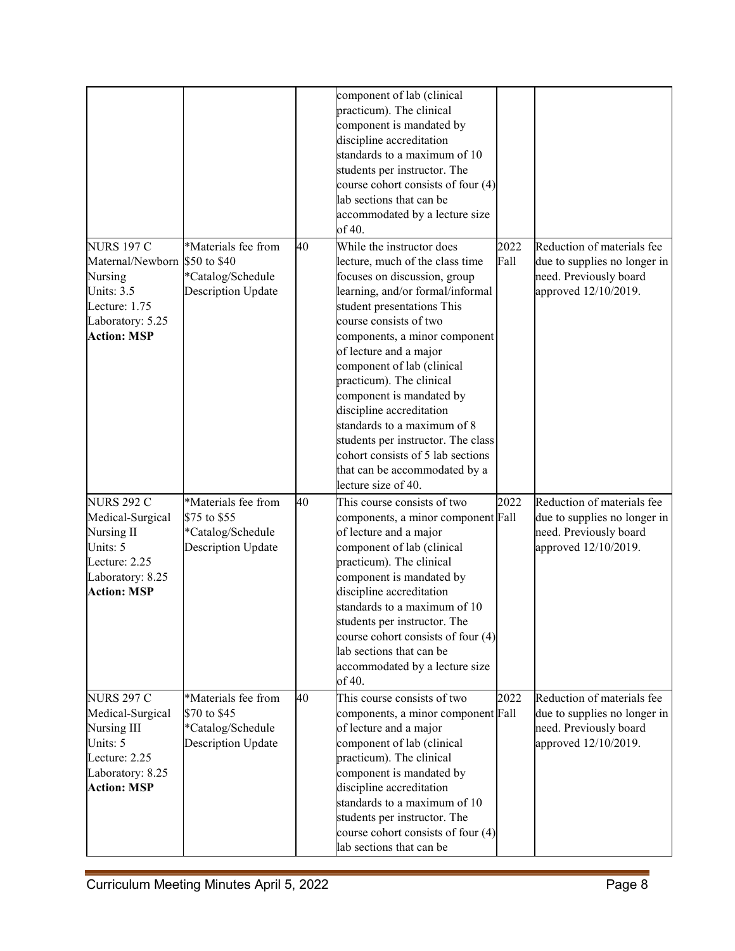|                                                                                                                             |                                                                                       |    | component of lab (clinical<br>practicum). The clinical<br>component is mandated by<br>discipline accreditation<br>standards to a maximum of 10<br>students per instructor. The<br>course cohort consists of four $(4)$<br>lab sections that can be<br>accommodated by a lecture size<br>of 40.                                                                                                                                                                                                                                          |              |                                                                                                              |
|-----------------------------------------------------------------------------------------------------------------------------|---------------------------------------------------------------------------------------|----|-----------------------------------------------------------------------------------------------------------------------------------------------------------------------------------------------------------------------------------------------------------------------------------------------------------------------------------------------------------------------------------------------------------------------------------------------------------------------------------------------------------------------------------------|--------------|--------------------------------------------------------------------------------------------------------------|
| <b>NURS 197 C</b><br>Maternal/Newborn<br>Nursing<br>Units: 3.5<br>Lecture: 1.75<br>Laboratory: 5.25<br><b>Action: MSP</b>   | *Materials fee from<br>\$50 to \$40<br>*Catalog/Schedule<br>Description Update        | 40 | While the instructor does<br>lecture, much of the class time<br>focuses on discussion, group<br>learning, and/or formal/informal<br>student presentations This<br>course consists of two<br>components, a minor component<br>of lecture and a major<br>component of lab (clinical<br>practicum). The clinical<br>component is mandated by<br>discipline accreditation<br>standards to a maximum of 8<br>students per instructor. The class<br>cohort consists of 5 lab sections<br>that can be accommodated by a<br>lecture size of 40. | 2022<br>Fall | Reduction of materials fee<br>due to supplies no longer in<br>need. Previously board<br>approved 12/10/2019. |
| <b>NURS 292 C</b><br>Medical-Surgical<br>Nursing II<br>Units: 5<br>Lecture: 2.25<br>Laboratory: 8.25<br><b>Action: MSP</b>  | *Materials fee from<br>\$75 to \$55<br>*Catalog/Schedule<br><b>Description Update</b> | 40 | This course consists of two<br>components, a minor component Fall<br>of lecture and a major<br>component of lab (clinical<br>practicum). The clinical<br>component is mandated by<br>discipline accreditation<br>standards to a maximum of 10<br>students per instructor. The<br>course cohort consists of four $(4)$<br>lab sections that can be<br>accommodated by a lecture size<br>of 40.                                                                                                                                           | 2022         | Reduction of materials fee<br>due to supplies no longer in<br>need. Previously board<br>approved 12/10/2019. |
| <b>NURS 297 C</b><br>Medical-Surgical<br>Nursing III<br>Units: 5<br>Lecture: 2.25<br>Laboratory: 8.25<br><b>Action: MSP</b> | *Materials fee from<br>\$70 to \$45<br>*Catalog/Schedule<br><b>Description Update</b> | 40 | This course consists of two<br>components, a minor component Fall<br>of lecture and a major<br>component of lab (clinical<br>practicum). The clinical<br>component is mandated by<br>discipline accreditation<br>standards to a maximum of 10<br>students per instructor. The<br>course cohort consists of four (4)<br>lab sections that can be                                                                                                                                                                                         | 2022         | Reduction of materials fee<br>due to supplies no longer in<br>need. Previously board<br>approved 12/10/2019. |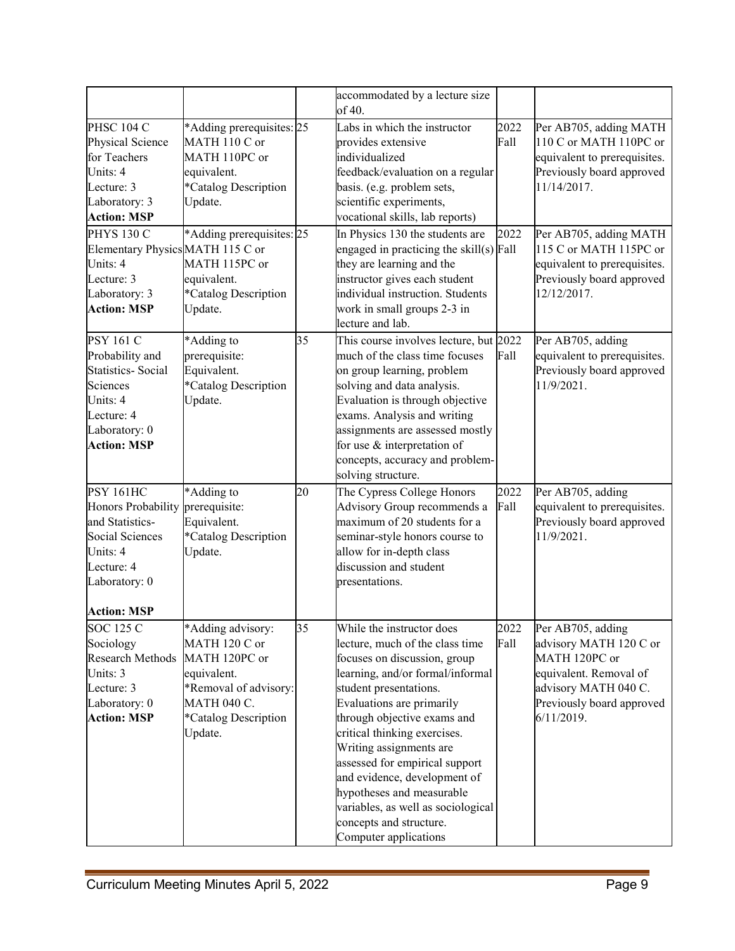|                                  |                           |    | accommodated by a lecture size<br>of 40.   |      |                              |
|----------------------------------|---------------------------|----|--------------------------------------------|------|------------------------------|
| <b>PHSC 104 C</b>                | *Adding prerequisites: 25 |    | Labs in which the instructor               | 2022 | Per AB705, adding MATH       |
| Physical Science                 | MATH 110 C or             |    | provides extensive                         | Fall | 110 C or MATH 110PC or       |
| for Teachers                     | MATH 110PC or             |    | individualized                             |      | equivalent to prerequisites. |
| Units: 4                         | equivalent.               |    | feedback/evaluation on a regular           |      | Previously board approved    |
| Lecture: 3                       | *Catalog Description      |    | basis. (e.g. problem sets,                 |      | 11/14/2017.                  |
| Laboratory: 3                    | Update.                   |    | scientific experiments,                    |      |                              |
| <b>Action: MSP</b>               |                           |    | vocational skills, lab reports)            |      |                              |
| <b>PHYS 130 C</b>                | *Adding prerequisites: 25 |    | In Physics 130 the students are            | 2022 | Per AB705, adding MATH       |
| Elementary Physics MATH 115 C or |                           |    | engaged in practicing the skill $(s)$ Fall |      | 115 C or MATH 115PC or       |
| Units: 4                         | MATH 115PC or             |    | they are learning and the                  |      | equivalent to prerequisites. |
| Lecture: 3                       | equivalent.               |    | instructor gives each student              |      | Previously board approved    |
| Laboratory: 3                    | *Catalog Description      |    | individual instruction. Students           |      | 12/12/2017.                  |
| <b>Action: MSP</b>               | Update.                   |    | work in small groups 2-3 in                |      |                              |
|                                  |                           |    | lecture and lab.                           |      |                              |
| <b>PSY 161 C</b>                 | *Adding to                | 35 | This course involves lecture, but 2022     |      | Per AB705, adding            |
| Probability and                  | prerequisite:             |    | much of the class time focuses             | Fall | equivalent to prerequisites. |
| <b>Statistics- Social</b>        | Equivalent.               |    | on group learning, problem                 |      | Previously board approved    |
| Sciences                         | *Catalog Description      |    | solving and data analysis.                 |      | 11/9/2021.                   |
| Units: 4                         | Update.                   |    | Evaluation is through objective            |      |                              |
| Lecture: 4                       |                           |    | exams. Analysis and writing                |      |                              |
| Laboratory: 0                    |                           |    | assignments are assessed mostly            |      |                              |
| <b>Action: MSP</b>               |                           |    | for use & interpretation of                |      |                              |
|                                  |                           |    | concepts, accuracy and problem-            |      |                              |
|                                  |                           |    | solving structure.                         |      |                              |
| <b>PSY 161HC</b>                 | *Adding to                | 20 | The Cypress College Honors                 | 2022 | Per AB705, adding            |
| Honors Probability prerequisite: |                           |    | Advisory Group recommends a                | Fall | equivalent to prerequisites. |
| and Statistics-                  | Equivalent.               |    | maximum of 20 students for a               |      | Previously board approved    |
| Social Sciences                  | *Catalog Description      |    | seminar-style honors course to             |      | 11/9/2021.                   |
| Units: 4                         | Update.                   |    | allow for in-depth class                   |      |                              |
| Lecture: 4                       |                           |    | discussion and student                     |      |                              |
| Laboratory: 0                    |                           |    | presentations.                             |      |                              |
| <b>Action: MSP</b>               |                           |    |                                            |      |                              |
| <b>SOC 125 C</b>                 | *Adding advisory:         | 35 | While the instructor does                  | 2022 | Per AB705, adding            |
| Sociology                        | MATH 120 C or             |    | lecture, much of the class time            | Fall | advisory MATH 120 C or       |
| Research Methods                 | MATH 120PC or             |    | focuses on discussion, group               |      | MATH 120PC or                |
| Units: 3                         | equivalent.               |    | learning, and/or formal/informal           |      | equivalent. Removal of       |
| Lecture: 3                       | *Removal of advisory:     |    | student presentations.                     |      | advisory MATH 040 C.         |
| Laboratory: 0                    | <b>MATH 040 C.</b>        |    | Evaluations are primarily                  |      | Previously board approved    |
| <b>Action: MSP</b>               | *Catalog Description      |    | through objective exams and                |      | 6/11/2019.                   |
|                                  | Update.                   |    | critical thinking exercises.               |      |                              |
|                                  |                           |    | Writing assignments are                    |      |                              |
|                                  |                           |    | assessed for empirical support             |      |                              |
|                                  |                           |    | and evidence, development of               |      |                              |
|                                  |                           |    | hypotheses and measurable                  |      |                              |
|                                  |                           |    | variables, as well as sociological         |      |                              |
|                                  |                           |    | concepts and structure.                    |      |                              |
|                                  |                           |    | Computer applications                      |      |                              |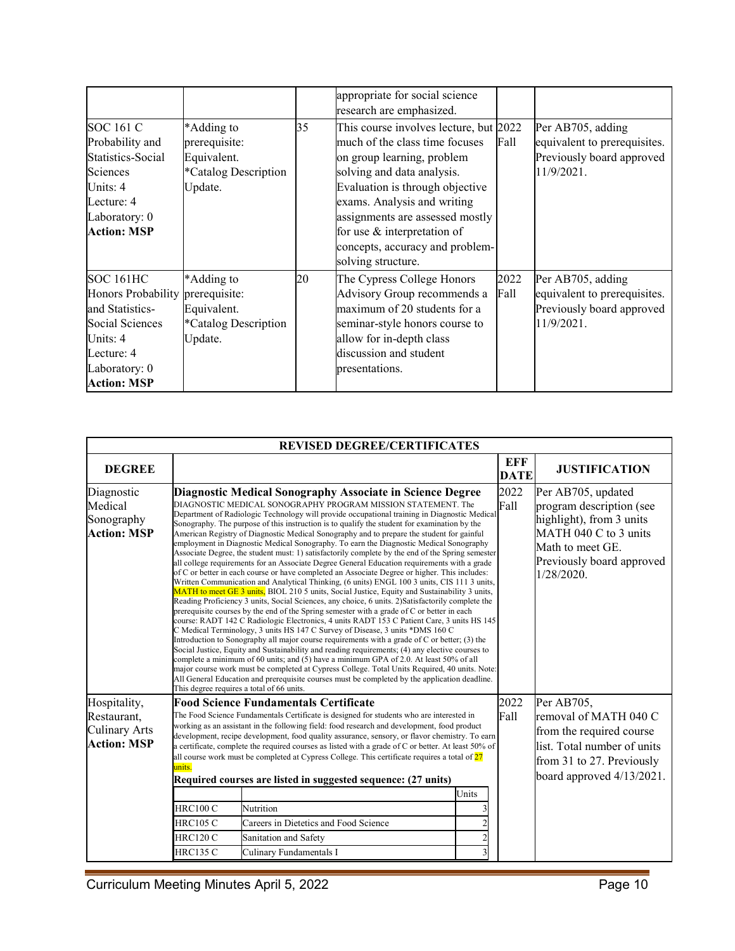|                                  |                      |    | appropriate for social science         |      |                              |
|----------------------------------|----------------------|----|----------------------------------------|------|------------------------------|
|                                  |                      |    | research are emphasized.               |      |                              |
| <b>SOC 161 C</b>                 | *Adding to           | 35 | This course involves lecture, but 2022 |      | Per AB705, adding            |
| Probability and                  | prerequisite:        |    | much of the class time focuses         | Fall | equivalent to prerequisites. |
| Statistics-Social                | Equivalent.          |    | on group learning, problem             |      | Previously board approved    |
| Sciences                         | *Catalog Description |    | solving and data analysis.             |      | 11/9/2021.                   |
| Units: 4                         | Update.              |    | Evaluation is through objective        |      |                              |
| Lecture: 4                       |                      |    | exams. Analysis and writing            |      |                              |
| Laboratory: 0                    |                      |    | assignments are assessed mostly        |      |                              |
| <b>Action: MSP</b>               |                      |    | for use & interpretation of            |      |                              |
|                                  |                      |    | concepts, accuracy and problem-        |      |                              |
|                                  |                      |    | solving structure.                     |      |                              |
| <b>SOC 161HC</b>                 | *Adding to           | 20 | The Cypress College Honors             | 2022 | Per AB705, adding            |
| Honors Probability prerequisite: |                      |    | Advisory Group recommends a            | Fall | equivalent to prerequisites. |
| and Statistics-                  | Equivalent.          |    | maximum of 20 students for a           |      | Previously board approved    |
| Social Sciences                  | *Catalog Description |    | seminar-style honors course to         |      | 11/9/2021.                   |
| Units: 4                         | Update.              |    | allow for in-depth class               |      |                              |
| Lecture: 4                       |                      |    | discussion and student                 |      |                              |
| Laboratory: 0                    |                      |    | presentations.                         |      |                              |
| <b>Action: MSP</b>               |                      |    |                                        |      |                              |

|                                                           | <b>REVISED DEGREE/CERTIFICATES</b> |                                                                                                                                                                                                                                                                                                                                                                                                                                                                                                                                                                                                                                                                                                                                                                                                                                                                                                                                                                                                                                                                                                                                                                                                                                                                                                                                                                                                                                                                                                                                                                                                                                                                                                                                                                                                                                                                                                                                                               |                    |                                                                                                                                            |                                                                                                                                                                       |  |  |  |  |  |
|-----------------------------------------------------------|------------------------------------|---------------------------------------------------------------------------------------------------------------------------------------------------------------------------------------------------------------------------------------------------------------------------------------------------------------------------------------------------------------------------------------------------------------------------------------------------------------------------------------------------------------------------------------------------------------------------------------------------------------------------------------------------------------------------------------------------------------------------------------------------------------------------------------------------------------------------------------------------------------------------------------------------------------------------------------------------------------------------------------------------------------------------------------------------------------------------------------------------------------------------------------------------------------------------------------------------------------------------------------------------------------------------------------------------------------------------------------------------------------------------------------------------------------------------------------------------------------------------------------------------------------------------------------------------------------------------------------------------------------------------------------------------------------------------------------------------------------------------------------------------------------------------------------------------------------------------------------------------------------------------------------------------------------------------------------------------------------|--------------------|--------------------------------------------------------------------------------------------------------------------------------------------|-----------------------------------------------------------------------------------------------------------------------------------------------------------------------|--|--|--|--|--|
| <b>DEGREE</b>                                             |                                    |                                                                                                                                                                                                                                                                                                                                                                                                                                                                                                                                                                                                                                                                                                                                                                                                                                                                                                                                                                                                                                                                                                                                                                                                                                                                                                                                                                                                                                                                                                                                                                                                                                                                                                                                                                                                                                                                                                                                                               | EFF<br><b>DATE</b> | <b>JUSTIFICATION</b>                                                                                                                       |                                                                                                                                                                       |  |  |  |  |  |
| Diagnostic<br>Medical<br>Sonography<br><b>Action: MSP</b> |                                    | <b>Diagnostic Medical Sonography Associate in Science Degree</b><br>DIAGNOSTIC MEDICAL SONOGRAPHY PROGRAM MISSION STATEMENT. The<br>Department of Radiologic Technology will provide occupational training in Diagnostic Medical<br>Sonography. The purpose of this instruction is to qualify the student for examination by the<br>American Registry of Diagnostic Medical Sonography and to prepare the student for gainful<br>employment in Diagnostic Medical Sonography. To earn the Diagnostic Medical Sonography<br>Associate Degree, the student must: 1) satisfactorily complete by the end of the Spring semester<br>all college requirements for an Associate Degree General Education requirements with a grade<br>of C or better in each course or have completed an Associate Degree or higher. This includes:<br>Written Communication and Analytical Thinking, (6 units) ENGL 100 3 units, CIS 111 3 units,<br>MATH to meet GE 3 units, BIOL 210 5 units, Social Justice, Equity and Sustainability 3 units,<br>Reading Proficiency 3 units, Social Sciences, any choice, 6 units. 2) Satisfactorily complete the<br>prerequisite courses by the end of the Spring semester with a grade of C or better in each<br>course: RADT 142 C Radiologic Electronics, 4 units RADT 153 C Patient Care, 3 units HS 145<br>C Medical Terminology, 3 units HS 147 C Survey of Disease, 3 units *DMS 160 C<br>Introduction to Sonography all major course requirements with a grade of $C$ or better; (3) the<br>Social Justice, Equity and Sustainability and reading requirements; (4) any elective courses to<br>complete a minimum of 60 units; and (5) have a minimum GPA of 2.0. At least 50% of all<br>major course work must be completed at Cypress College. Total Units Required, 40 units. Note:<br>All General Education and prerequisite courses must be completed by the application deadline.<br>This degree requires a total of 66 units. |                    | 2022<br>Fall                                                                                                                               | Per AB705, updated<br>program description (see<br>highlight), from 3 units<br>MATH 040 C to 3 units<br>Math to meet GE.<br>Previously board approved<br>$1/28/2020$ . |  |  |  |  |  |
| Hospitality,                                              |                                    | <b>Food Science Fundamentals Certificate</b>                                                                                                                                                                                                                                                                                                                                                                                                                                                                                                                                                                                                                                                                                                                                                                                                                                                                                                                                                                                                                                                                                                                                                                                                                                                                                                                                                                                                                                                                                                                                                                                                                                                                                                                                                                                                                                                                                                                  |                    | 2022                                                                                                                                       | Per AB705,                                                                                                                                                            |  |  |  |  |  |
| Restaurant,<br><b>Culinary Arts</b><br><b>Action: MSP</b> | units.                             | The Food Science Fundamentals Certificate is designed for students who are interested in<br>working as an assistant in the following field: food research and development, food product<br>development, recipe development, food quality assurance, sensory, or flavor chemistry. To earn<br>a certificate, complete the required courses as listed with a grade of C or better. At least 50% of<br>all course work must be completed at Cypress College. This certificate requires a total of $27$<br>Required courses are listed in suggested sequence: (27 units)                                                                                                                                                                                                                                                                                                                                                                                                                                                                                                                                                                                                                                                                                                                                                                                                                                                                                                                                                                                                                                                                                                                                                                                                                                                                                                                                                                                          | Fall               | removal of MATH 040 C<br>from the required course<br>list. Total number of units<br>from 31 to 27. Previously<br>board approved 4/13/2021. |                                                                                                                                                                       |  |  |  |  |  |
|                                                           |                                    |                                                                                                                                                                                                                                                                                                                                                                                                                                                                                                                                                                                                                                                                                                                                                                                                                                                                                                                                                                                                                                                                                                                                                                                                                                                                                                                                                                                                                                                                                                                                                                                                                                                                                                                                                                                                                                                                                                                                                               | Units              |                                                                                                                                            |                                                                                                                                                                       |  |  |  |  |  |
|                                                           | <b>HRC100 C</b>                    | Nutrition                                                                                                                                                                                                                                                                                                                                                                                                                                                                                                                                                                                                                                                                                                                                                                                                                                                                                                                                                                                                                                                                                                                                                                                                                                                                                                                                                                                                                                                                                                                                                                                                                                                                                                                                                                                                                                                                                                                                                     |                    |                                                                                                                                            |                                                                                                                                                                       |  |  |  |  |  |
|                                                           | <b>HRC105 C</b>                    | Careers in Dietetics and Food Science                                                                                                                                                                                                                                                                                                                                                                                                                                                                                                                                                                                                                                                                                                                                                                                                                                                                                                                                                                                                                                                                                                                                                                                                                                                                                                                                                                                                                                                                                                                                                                                                                                                                                                                                                                                                                                                                                                                         | $\overline{c}$     |                                                                                                                                            |                                                                                                                                                                       |  |  |  |  |  |
|                                                           | <b>HRC120 C</b>                    | Sanitation and Safety                                                                                                                                                                                                                                                                                                                                                                                                                                                                                                                                                                                                                                                                                                                                                                                                                                                                                                                                                                                                                                                                                                                                                                                                                                                                                                                                                                                                                                                                                                                                                                                                                                                                                                                                                                                                                                                                                                                                         |                    |                                                                                                                                            |                                                                                                                                                                       |  |  |  |  |  |
|                                                           | <b>HRC135 C</b>                    | Culinary Fundamentals I                                                                                                                                                                                                                                                                                                                                                                                                                                                                                                                                                                                                                                                                                                                                                                                                                                                                                                                                                                                                                                                                                                                                                                                                                                                                                                                                                                                                                                                                                                                                                                                                                                                                                                                                                                                                                                                                                                                                       | 3                  |                                                                                                                                            |                                                                                                                                                                       |  |  |  |  |  |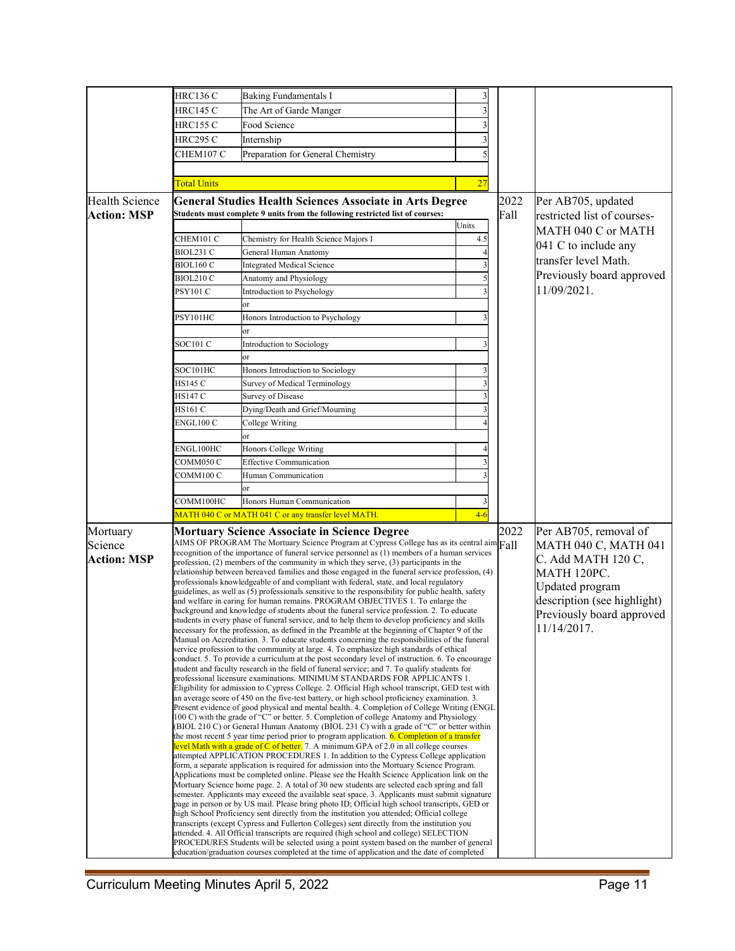|                       | <b>HRC136 C</b>                         | Baking Fundamentals I                                                                                                                                                                           |       |                             |                             |
|-----------------------|-----------------------------------------|-------------------------------------------------------------------------------------------------------------------------------------------------------------------------------------------------|-------|-----------------------------|-----------------------------|
|                       | HRC145 C                                | The Art of Garde Manger                                                                                                                                                                         |       |                             |                             |
|                       | HRC155 C                                | Food Science                                                                                                                                                                                    |       |                             |                             |
|                       | HRC295 C                                | Internship                                                                                                                                                                                      |       |                             |                             |
|                       | CHEM107 C                               | Preparation for General Chemistry                                                                                                                                                               |       |                             |                             |
|                       |                                         |                                                                                                                                                                                                 |       |                             |                             |
|                       |                                         |                                                                                                                                                                                                 |       |                             |                             |
|                       | <b>Total Units</b>                      |                                                                                                                                                                                                 | 27    |                             |                             |
| <b>Health Science</b> |                                         | <b>General Studies Health Sciences Associate in Arts Degree</b>                                                                                                                                 |       | 2022                        | Per AB705, updated          |
| <b>Action: MSP</b>    |                                         | Students must complete 9 units from the following restricted list of courses:                                                                                                                   |       | Fall                        | restricted list of courses- |
|                       |                                         |                                                                                                                                                                                                 | Units |                             | MATH 040 C or MATH          |
|                       | CHEM101 C                               | Chemistry for Health Science Majors I                                                                                                                                                           | 4.5   |                             | 041 C to include any        |
|                       | BIOL231 C                               | General Human Anatomy                                                                                                                                                                           |       |                             | transfer level Math.        |
|                       | BIOL160 C                               | <b>Integrated Medical Science</b>                                                                                                                                                               |       |                             |                             |
|                       | BIOL210 C                               | Anatomy and Physiology                                                                                                                                                                          |       |                             | Previously board approved   |
|                       | PSY101 C                                | Introduction to Psychology                                                                                                                                                                      |       |                             | 11/09/2021.                 |
|                       |                                         | or                                                                                                                                                                                              |       |                             |                             |
|                       | PSY101HC                                | Honors Introduction to Psychology                                                                                                                                                               |       |                             |                             |
|                       |                                         | or                                                                                                                                                                                              |       |                             |                             |
|                       | SOC101 C                                | Introduction to Sociology                                                                                                                                                                       |       |                             |                             |
|                       |                                         | or                                                                                                                                                                                              |       |                             |                             |
|                       | SOC101HC                                | Honors Introduction to Sociology                                                                                                                                                                |       |                             |                             |
|                       | HS145 C                                 | Survey of Medical Terminology                                                                                                                                                                   |       |                             |                             |
|                       | HS147 C                                 | <b>Survey of Disease</b>                                                                                                                                                                        |       |                             |                             |
|                       | HS161 C                                 | Dying/Death and Grief/Mourning                                                                                                                                                                  |       |                             |                             |
|                       | ENGL100 C                               | College Writing                                                                                                                                                                                 |       |                             |                             |
|                       |                                         | эr                                                                                                                                                                                              |       |                             |                             |
|                       | ENGL100HC                               | Honors College Writing                                                                                                                                                                          |       |                             |                             |
|                       | COMM050 C                               | <b>Effective Communication</b><br>Human Communication                                                                                                                                           |       |                             |                             |
|                       | COMM100 C                               |                                                                                                                                                                                                 |       |                             |                             |
|                       |                                         | or                                                                                                                                                                                              |       |                             |                             |
|                       | Honors Human Communication<br>COMM100HC |                                                                                                                                                                                                 |       |                             |                             |
|                       |                                         | MATH 040 C or MATH 041 C or any transfer level MATH.                                                                                                                                            | $4-6$ |                             |                             |
| Mortuary              |                                         | Mortuary Science Associate in Science Degree                                                                                                                                                    |       | 2022                        | Per AB705, removal of       |
| Science               |                                         | AIMS OF PROGRAM The Mortuary Science Program at Cypress College has as its central $\lim_{n\to\infty}$                                                                                          |       |                             | MATH 040 C, MATH 041        |
| <b>Action: MSP</b>    |                                         | recognition of the importance of funeral service personnel as (1) members of a human services                                                                                                   |       |                             | C. Add MATH 120 C,          |
|                       |                                         | profession, (2) members of the community in which they serve, (3) participants in the<br>relationship between bereaved families and those engaged in the funeral service profession, (4)        |       |                             | MATH 120PC.                 |
|                       |                                         | professionals knowledgeable of and compliant with federal, state, and local regulatory                                                                                                          |       |                             | Updated program             |
|                       |                                         | guidelines, as well as (5) professionals sensitive to the responsibility for public health, safety                                                                                              |       | description (see highlight) |                             |
|                       |                                         | and welfare in caring for human remains. PROGRAM OBJECTIVES 1. To enlarge the<br>background and knowledge of students about the funeral service profession. 2. To educate                       |       |                             |                             |
|                       |                                         | students in every phase of funeral service, and to help them to develop proficiency and skills                                                                                                  |       | Previously board approved   |                             |
|                       |                                         | necessary for the profession, as defined in the Preamble at the beginning of Chapter 9 of the<br>Manual on Accreditation. 3. To educate students concerning the responsibilities of the funeral |       | 11/14/2017.                 |                             |
|                       |                                         | service profession to the community at large. 4. To emphasize high standards of ethical                                                                                                         |       |                             |                             |
|                       |                                         | conduct. 5. To provide a curriculum at the post secondary level of instruction. 6. To encourage                                                                                                 |       |                             |                             |
|                       |                                         | student and faculty research in the field of funeral service; and 7. To qualify students for<br>professional licensure examinations. MINIMUM STANDARDS FOR APPLICANTS 1.                        |       |                             |                             |
|                       |                                         | Eligibility for admission to Cypress College. 2. Official High school transcript, GED test with                                                                                                 |       |                             |                             |
|                       |                                         | an average score of 450 on the five-test battery, or high school proficiency examination. 3.                                                                                                    |       |                             |                             |
|                       |                                         | Present evidence of good physical and mental health. 4. Completion of College Writing (ENGL)<br>100 C) with the grade of "C" or better. 5. Completion of college Anatomy and Physiology         |       |                             |                             |
|                       |                                         | (BIOL 210 C) or General Human Anatomy (BIOL 231 C) with a grade of "C" or better within                                                                                                         |       |                             |                             |
|                       |                                         | the most recent 5 year time period prior to program application. 6. Completion of a transfer                                                                                                    |       |                             |                             |
|                       |                                         | evel Math with a grade of C of better. 7. A minimum GPA of 2.0 in all college courses<br>attempted APPLICATION PROCEDURES 1. In addition to the Cypress College application                     |       |                             |                             |
|                       |                                         | form, a separate application is required for admission into the Mortuary Science Program.                                                                                                       |       |                             |                             |
|                       |                                         | Applications must be completed online. Please see the Health Science Application link on the                                                                                                    |       |                             |                             |
|                       |                                         | Mortuary Science home page. 2. A total of 30 new students are selected each spring and fall                                                                                                     |       |                             |                             |
|                       |                                         | semester. Applicants may exceed the available seat space. 3. Applicants must submit signature<br>page in person or by US mail. Please bring photo ID; Official high school transcripts, GED or  |       |                             |                             |
|                       |                                         | high School Proficiency sent directly from the institution you attended; Official college                                                                                                       |       |                             |                             |
|                       |                                         | transcripts (except Cypress and Fullerton Colleges) sent directly from the institution you                                                                                                      |       |                             |                             |
|                       |                                         | attended. 4. All Official transcripts are required (high school and college) SELECTION<br>PROCEDURES Students will be selected using a point system based on the number of general              |       |                             |                             |
|                       |                                         | education/graduation courses completed at the time of application and the date of completed                                                                                                     |       |                             |                             |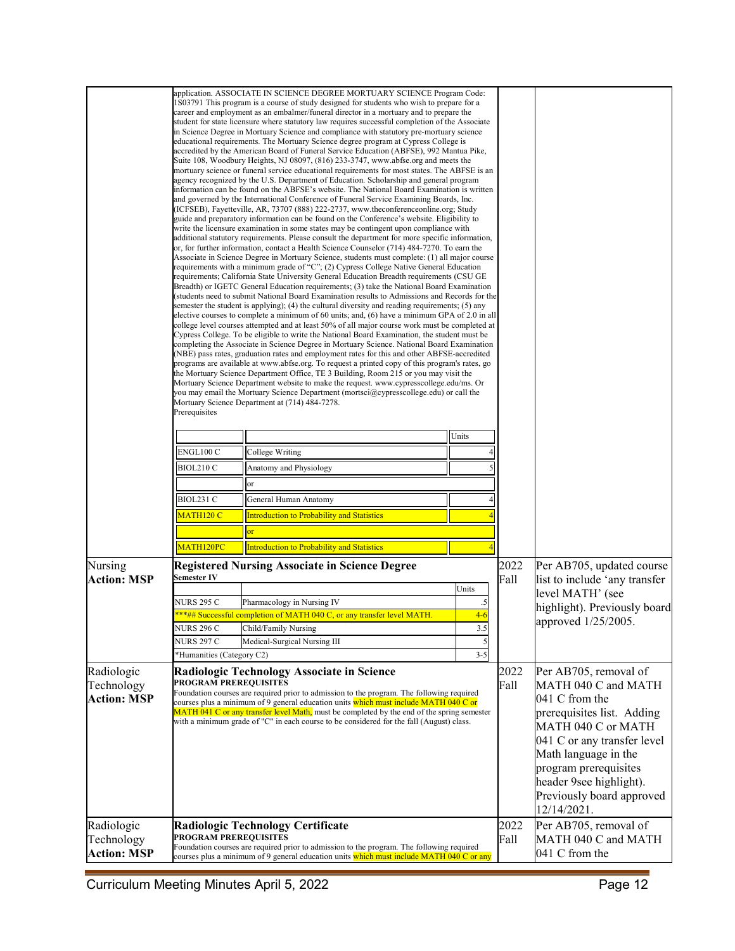|                               |                              | application. ASSOCIATE IN SCIENCE DEGREE MORTUARY SCIENCE Program Code:<br>1803791 This program is a course of study designed for students who wish to prepare for a<br>career and employment as an embalmer/funeral director in a mortuary and to prepare the<br>student for state licensure where statutory law requires successful completion of the Associate<br>in Science Degree in Mortuary Science and compliance with statutory pre-mortuary science<br>educational requirements. The Mortuary Science degree program at Cypress College is<br>accredited by the American Board of Funeral Service Education (ABFSE), 992 Mantua Pike,<br>Suite 108, Woodbury Heights, NJ 08097, (816) 233-3747, www.abfse.org and meets the<br>mortuary science or funeral service educational requirements for most states. The ABFSE is an<br>agency recognized by the U.S. Department of Education. Scholarship and general program<br>information can be found on the ABFSE's website. The National Board Examination is written<br>and governed by the International Conference of Funeral Service Examining Boards, Inc.<br>(ICFSEB), Fayetteville, AR, 73707 (888) 222-2737, www.theconferenceonline.org; Study<br>guide and preparatory information can be found on the Conference's website. Eligibility to<br>write the licensure examination in some states may be contingent upon compliance with<br>additional statutory requirements. Please consult the department for more specific information,<br>or, for further information, contact a Health Science Counselor (714) 484-7270. To earn the<br>Associate in Science Degree in Mortuary Science, students must complete: (1) all major course<br>requirements with a minimum grade of "C"; (2) Cypress College Native General Education<br>requirements; California State University General Education Breadth requirements (CSU GE<br>Breadth) or IGETC General Education requirements; (3) take the National Board Examination<br>(students need to submit National Board Examination results to Admissions and Records for the<br>semester the student is applying); (4) the cultural diversity and reading requirements; (5) any<br>elective courses to complete a minimum of 60 units; and, (6) have a minimum GPA of 2.0 in all<br>college level courses attempted and at least 50% of all major course work must be completed at<br>Cypress College. To be eligible to write the National Board Examination, the student must be<br>completing the Associate in Science Degree in Mortuary Science. National Board Examination<br>(NBE) pass rates, graduation rates and employment rates for this and other ABFSE-accredited<br>programs are available at www.abfse.org. To request a printed copy of this program's rates, go<br>the Mortuary Science Department Office, TE 3 Building, Room 215 or you may visit the<br>Mortuary Science Department website to make the request. www.cypresscollege.edu/ms. Or<br>you may email the Mortuary Science Department (mortsci@cypresscollege.edu) or call the<br>Mortuary Science Department at (714) 484-7278. |              |                                                            |                                                  |
|-------------------------------|------------------------------|-----------------------------------------------------------------------------------------------------------------------------------------------------------------------------------------------------------------------------------------------------------------------------------------------------------------------------------------------------------------------------------------------------------------------------------------------------------------------------------------------------------------------------------------------------------------------------------------------------------------------------------------------------------------------------------------------------------------------------------------------------------------------------------------------------------------------------------------------------------------------------------------------------------------------------------------------------------------------------------------------------------------------------------------------------------------------------------------------------------------------------------------------------------------------------------------------------------------------------------------------------------------------------------------------------------------------------------------------------------------------------------------------------------------------------------------------------------------------------------------------------------------------------------------------------------------------------------------------------------------------------------------------------------------------------------------------------------------------------------------------------------------------------------------------------------------------------------------------------------------------------------------------------------------------------------------------------------------------------------------------------------------------------------------------------------------------------------------------------------------------------------------------------------------------------------------------------------------------------------------------------------------------------------------------------------------------------------------------------------------------------------------------------------------------------------------------------------------------------------------------------------------------------------------------------------------------------------------------------------------------------------------------------------------------------------------------------------------------------------------------------------------------------------------------------------------------------------------------------------------------------------------------------------------------------------------------------------------------------------------------------------------------------------------------------------------------------------------------------------------------------------|--------------|------------------------------------------------------------|--------------------------------------------------|
|                               | Prerequisites                |                                                                                                                                                                                                                                                                                                                                                                                                                                                                                                                                                                                                                                                                                                                                                                                                                                                                                                                                                                                                                                                                                                                                                                                                                                                                                                                                                                                                                                                                                                                                                                                                                                                                                                                                                                                                                                                                                                                                                                                                                                                                                                                                                                                                                                                                                                                                                                                                                                                                                                                                                                                                                                                                                                                                                                                                                                                                                                                                                                                                                                                                                                                                   |              |                                                            |                                                  |
|                               |                              |                                                                                                                                                                                                                                                                                                                                                                                                                                                                                                                                                                                                                                                                                                                                                                                                                                                                                                                                                                                                                                                                                                                                                                                                                                                                                                                                                                                                                                                                                                                                                                                                                                                                                                                                                                                                                                                                                                                                                                                                                                                                                                                                                                                                                                                                                                                                                                                                                                                                                                                                                                                                                                                                                                                                                                                                                                                                                                                                                                                                                                                                                                                                   | Units        |                                                            |                                                  |
|                               | ENGL100 C                    | College Writing                                                                                                                                                                                                                                                                                                                                                                                                                                                                                                                                                                                                                                                                                                                                                                                                                                                                                                                                                                                                                                                                                                                                                                                                                                                                                                                                                                                                                                                                                                                                                                                                                                                                                                                                                                                                                                                                                                                                                                                                                                                                                                                                                                                                                                                                                                                                                                                                                                                                                                                                                                                                                                                                                                                                                                                                                                                                                                                                                                                                                                                                                                                   |              |                                                            |                                                  |
|                               | <b>BIOL210 C</b>             | Anatomy and Physiology                                                                                                                                                                                                                                                                                                                                                                                                                                                                                                                                                                                                                                                                                                                                                                                                                                                                                                                                                                                                                                                                                                                                                                                                                                                                                                                                                                                                                                                                                                                                                                                                                                                                                                                                                                                                                                                                                                                                                                                                                                                                                                                                                                                                                                                                                                                                                                                                                                                                                                                                                                                                                                                                                                                                                                                                                                                                                                                                                                                                                                                                                                            |              |                                                            |                                                  |
|                               |                              | or                                                                                                                                                                                                                                                                                                                                                                                                                                                                                                                                                                                                                                                                                                                                                                                                                                                                                                                                                                                                                                                                                                                                                                                                                                                                                                                                                                                                                                                                                                                                                                                                                                                                                                                                                                                                                                                                                                                                                                                                                                                                                                                                                                                                                                                                                                                                                                                                                                                                                                                                                                                                                                                                                                                                                                                                                                                                                                                                                                                                                                                                                                                                |              |                                                            |                                                  |
|                               | BIOL231 C                    | General Human Anatomy                                                                                                                                                                                                                                                                                                                                                                                                                                                                                                                                                                                                                                                                                                                                                                                                                                                                                                                                                                                                                                                                                                                                                                                                                                                                                                                                                                                                                                                                                                                                                                                                                                                                                                                                                                                                                                                                                                                                                                                                                                                                                                                                                                                                                                                                                                                                                                                                                                                                                                                                                                                                                                                                                                                                                                                                                                                                                                                                                                                                                                                                                                             |              |                                                            |                                                  |
|                               | MATH <sub>120</sub> C        | <b>Introduction to Probability and Statistics</b>                                                                                                                                                                                                                                                                                                                                                                                                                                                                                                                                                                                                                                                                                                                                                                                                                                                                                                                                                                                                                                                                                                                                                                                                                                                                                                                                                                                                                                                                                                                                                                                                                                                                                                                                                                                                                                                                                                                                                                                                                                                                                                                                                                                                                                                                                                                                                                                                                                                                                                                                                                                                                                                                                                                                                                                                                                                                                                                                                                                                                                                                                 |              |                                                            |                                                  |
|                               |                              | or                                                                                                                                                                                                                                                                                                                                                                                                                                                                                                                                                                                                                                                                                                                                                                                                                                                                                                                                                                                                                                                                                                                                                                                                                                                                                                                                                                                                                                                                                                                                                                                                                                                                                                                                                                                                                                                                                                                                                                                                                                                                                                                                                                                                                                                                                                                                                                                                                                                                                                                                                                                                                                                                                                                                                                                                                                                                                                                                                                                                                                                                                                                                |              |                                                            |                                                  |
|                               | MATH120PC                    | <b>Introduction to Probability and Statistics</b>                                                                                                                                                                                                                                                                                                                                                                                                                                                                                                                                                                                                                                                                                                                                                                                                                                                                                                                                                                                                                                                                                                                                                                                                                                                                                                                                                                                                                                                                                                                                                                                                                                                                                                                                                                                                                                                                                                                                                                                                                                                                                                                                                                                                                                                                                                                                                                                                                                                                                                                                                                                                                                                                                                                                                                                                                                                                                                                                                                                                                                                                                 |              |                                                            |                                                  |
| Nursing<br><b>Action: MSP</b> | Semester IV                  | <b>Registered Nursing Associate in Science Degree</b>                                                                                                                                                                                                                                                                                                                                                                                                                                                                                                                                                                                                                                                                                                                                                                                                                                                                                                                                                                                                                                                                                                                                                                                                                                                                                                                                                                                                                                                                                                                                                                                                                                                                                                                                                                                                                                                                                                                                                                                                                                                                                                                                                                                                                                                                                                                                                                                                                                                                                                                                                                                                                                                                                                                                                                                                                                                                                                                                                                                                                                                                             | 2022<br>Fall | Per AB705, updated course<br>list to include 'any transfer |                                                  |
|                               | NURS 295 C                   | Pharmacology in Nursing IV                                                                                                                                                                                                                                                                                                                                                                                                                                                                                                                                                                                                                                                                                                                                                                                                                                                                                                                                                                                                                                                                                                                                                                                                                                                                                                                                                                                                                                                                                                                                                                                                                                                                                                                                                                                                                                                                                                                                                                                                                                                                                                                                                                                                                                                                                                                                                                                                                                                                                                                                                                                                                                                                                                                                                                                                                                                                                                                                                                                                                                                                                                        |              | level MATH' (see                                           |                                                  |
|                               |                              | ***## Successful completion of MATH 040 C, or any transfer level MATH.                                                                                                                                                                                                                                                                                                                                                                                                                                                                                                                                                                                                                                                                                                                                                                                                                                                                                                                                                                                                                                                                                                                                                                                                                                                                                                                                                                                                                                                                                                                                                                                                                                                                                                                                                                                                                                                                                                                                                                                                                                                                                                                                                                                                                                                                                                                                                                                                                                                                                                                                                                                                                                                                                                                                                                                                                                                                                                                                                                                                                                                            | $4-6$        |                                                            | highlight). Previously board                     |
|                               | <b>NURS 296 C</b>            | Child/Family Nursing                                                                                                                                                                                                                                                                                                                                                                                                                                                                                                                                                                                                                                                                                                                                                                                                                                                                                                                                                                                                                                                                                                                                                                                                                                                                                                                                                                                                                                                                                                                                                                                                                                                                                                                                                                                                                                                                                                                                                                                                                                                                                                                                                                                                                                                                                                                                                                                                                                                                                                                                                                                                                                                                                                                                                                                                                                                                                                                                                                                                                                                                                                              | 3.5          |                                                            | approved 1/25/2005.                              |
|                               | <b>NURS 297 C</b>            | Medical-Surgical Nursing III                                                                                                                                                                                                                                                                                                                                                                                                                                                                                                                                                                                                                                                                                                                                                                                                                                                                                                                                                                                                                                                                                                                                                                                                                                                                                                                                                                                                                                                                                                                                                                                                                                                                                                                                                                                                                                                                                                                                                                                                                                                                                                                                                                                                                                                                                                                                                                                                                                                                                                                                                                                                                                                                                                                                                                                                                                                                                                                                                                                                                                                                                                      |              |                                                            |                                                  |
|                               | *Humanities (Category C2)    |                                                                                                                                                                                                                                                                                                                                                                                                                                                                                                                                                                                                                                                                                                                                                                                                                                                                                                                                                                                                                                                                                                                                                                                                                                                                                                                                                                                                                                                                                                                                                                                                                                                                                                                                                                                                                                                                                                                                                                                                                                                                                                                                                                                                                                                                                                                                                                                                                                                                                                                                                                                                                                                                                                                                                                                                                                                                                                                                                                                                                                                                                                                                   | $3 - 5$      |                                                            |                                                  |
| Radiologic                    |                              | <b>Radiologic Technology Associate in Science</b>                                                                                                                                                                                                                                                                                                                                                                                                                                                                                                                                                                                                                                                                                                                                                                                                                                                                                                                                                                                                                                                                                                                                                                                                                                                                                                                                                                                                                                                                                                                                                                                                                                                                                                                                                                                                                                                                                                                                                                                                                                                                                                                                                                                                                                                                                                                                                                                                                                                                                                                                                                                                                                                                                                                                                                                                                                                                                                                                                                                                                                                                                 |              | 2022                                                       | Per AB705, removal of                            |
| Technology                    | <b>PROGRAM PREREQUISITES</b> | Foundation courses are required prior to admission to the program. The following required                                                                                                                                                                                                                                                                                                                                                                                                                                                                                                                                                                                                                                                                                                                                                                                                                                                                                                                                                                                                                                                                                                                                                                                                                                                                                                                                                                                                                                                                                                                                                                                                                                                                                                                                                                                                                                                                                                                                                                                                                                                                                                                                                                                                                                                                                                                                                                                                                                                                                                                                                                                                                                                                                                                                                                                                                                                                                                                                                                                                                                         |              | Fall                                                       | MATH 040 C and MATH                              |
| <b>Action: MSP</b>            |                              | courses plus a minimum of 9 general education units which must include MATH 040 C or<br>MATH 041 C or any transfer level Math, must be completed by the end of the spring semester                                                                                                                                                                                                                                                                                                                                                                                                                                                                                                                                                                                                                                                                                                                                                                                                                                                                                                                                                                                                                                                                                                                                                                                                                                                                                                                                                                                                                                                                                                                                                                                                                                                                                                                                                                                                                                                                                                                                                                                                                                                                                                                                                                                                                                                                                                                                                                                                                                                                                                                                                                                                                                                                                                                                                                                                                                                                                                                                                |              |                                                            | 041 C from the                                   |
|                               |                              | with a minimum grade of "C" in each course to be considered for the fall (August) class.                                                                                                                                                                                                                                                                                                                                                                                                                                                                                                                                                                                                                                                                                                                                                                                                                                                                                                                                                                                                                                                                                                                                                                                                                                                                                                                                                                                                                                                                                                                                                                                                                                                                                                                                                                                                                                                                                                                                                                                                                                                                                                                                                                                                                                                                                                                                                                                                                                                                                                                                                                                                                                                                                                                                                                                                                                                                                                                                                                                                                                          |              |                                                            | prerequisites list. Adding<br>MATH 040 C or MATH |
|                               |                              |                                                                                                                                                                                                                                                                                                                                                                                                                                                                                                                                                                                                                                                                                                                                                                                                                                                                                                                                                                                                                                                                                                                                                                                                                                                                                                                                                                                                                                                                                                                                                                                                                                                                                                                                                                                                                                                                                                                                                                                                                                                                                                                                                                                                                                                                                                                                                                                                                                                                                                                                                                                                                                                                                                                                                                                                                                                                                                                                                                                                                                                                                                                                   |              |                                                            | 041 C or any transfer level                      |
|                               |                              |                                                                                                                                                                                                                                                                                                                                                                                                                                                                                                                                                                                                                                                                                                                                                                                                                                                                                                                                                                                                                                                                                                                                                                                                                                                                                                                                                                                                                                                                                                                                                                                                                                                                                                                                                                                                                                                                                                                                                                                                                                                                                                                                                                                                                                                                                                                                                                                                                                                                                                                                                                                                                                                                                                                                                                                                                                                                                                                                                                                                                                                                                                                                   |              |                                                            | Math language in the                             |
|                               |                              |                                                                                                                                                                                                                                                                                                                                                                                                                                                                                                                                                                                                                                                                                                                                                                                                                                                                                                                                                                                                                                                                                                                                                                                                                                                                                                                                                                                                                                                                                                                                                                                                                                                                                                                                                                                                                                                                                                                                                                                                                                                                                                                                                                                                                                                                                                                                                                                                                                                                                                                                                                                                                                                                                                                                                                                                                                                                                                                                                                                                                                                                                                                                   |              |                                                            | program prerequisites                            |
|                               |                              |                                                                                                                                                                                                                                                                                                                                                                                                                                                                                                                                                                                                                                                                                                                                                                                                                                                                                                                                                                                                                                                                                                                                                                                                                                                                                                                                                                                                                                                                                                                                                                                                                                                                                                                                                                                                                                                                                                                                                                                                                                                                                                                                                                                                                                                                                                                                                                                                                                                                                                                                                                                                                                                                                                                                                                                                                                                                                                                                                                                                                                                                                                                                   |              |                                                            | header 9see highlight).                          |
|                               |                              |                                                                                                                                                                                                                                                                                                                                                                                                                                                                                                                                                                                                                                                                                                                                                                                                                                                                                                                                                                                                                                                                                                                                                                                                                                                                                                                                                                                                                                                                                                                                                                                                                                                                                                                                                                                                                                                                                                                                                                                                                                                                                                                                                                                                                                                                                                                                                                                                                                                                                                                                                                                                                                                                                                                                                                                                                                                                                                                                                                                                                                                                                                                                   |              |                                                            | Previously board approved                        |
|                               |                              |                                                                                                                                                                                                                                                                                                                                                                                                                                                                                                                                                                                                                                                                                                                                                                                                                                                                                                                                                                                                                                                                                                                                                                                                                                                                                                                                                                                                                                                                                                                                                                                                                                                                                                                                                                                                                                                                                                                                                                                                                                                                                                                                                                                                                                                                                                                                                                                                                                                                                                                                                                                                                                                                                                                                                                                                                                                                                                                                                                                                                                                                                                                                   |              |                                                            | 12/14/2021.                                      |
| Radiologic                    |                              | <b>Radiologic Technology Certificate</b>                                                                                                                                                                                                                                                                                                                                                                                                                                                                                                                                                                                                                                                                                                                                                                                                                                                                                                                                                                                                                                                                                                                                                                                                                                                                                                                                                                                                                                                                                                                                                                                                                                                                                                                                                                                                                                                                                                                                                                                                                                                                                                                                                                                                                                                                                                                                                                                                                                                                                                                                                                                                                                                                                                                                                                                                                                                                                                                                                                                                                                                                                          |              | 2022                                                       | Per AB705, removal of                            |
| Technology                    | <b>PROGRAM PREREQUISITES</b> | Foundation courses are required prior to admission to the program. The following required                                                                                                                                                                                                                                                                                                                                                                                                                                                                                                                                                                                                                                                                                                                                                                                                                                                                                                                                                                                                                                                                                                                                                                                                                                                                                                                                                                                                                                                                                                                                                                                                                                                                                                                                                                                                                                                                                                                                                                                                                                                                                                                                                                                                                                                                                                                                                                                                                                                                                                                                                                                                                                                                                                                                                                                                                                                                                                                                                                                                                                         |              | Fall                                                       | MATH 040 C and MATH                              |
| <b>Action: MSP</b>            |                              | courses plus a minimum of 9 general education units which must include MATH 040 C or any                                                                                                                                                                                                                                                                                                                                                                                                                                                                                                                                                                                                                                                                                                                                                                                                                                                                                                                                                                                                                                                                                                                                                                                                                                                                                                                                                                                                                                                                                                                                                                                                                                                                                                                                                                                                                                                                                                                                                                                                                                                                                                                                                                                                                                                                                                                                                                                                                                                                                                                                                                                                                                                                                                                                                                                                                                                                                                                                                                                                                                          |              |                                                            | 041 C from the                                   |